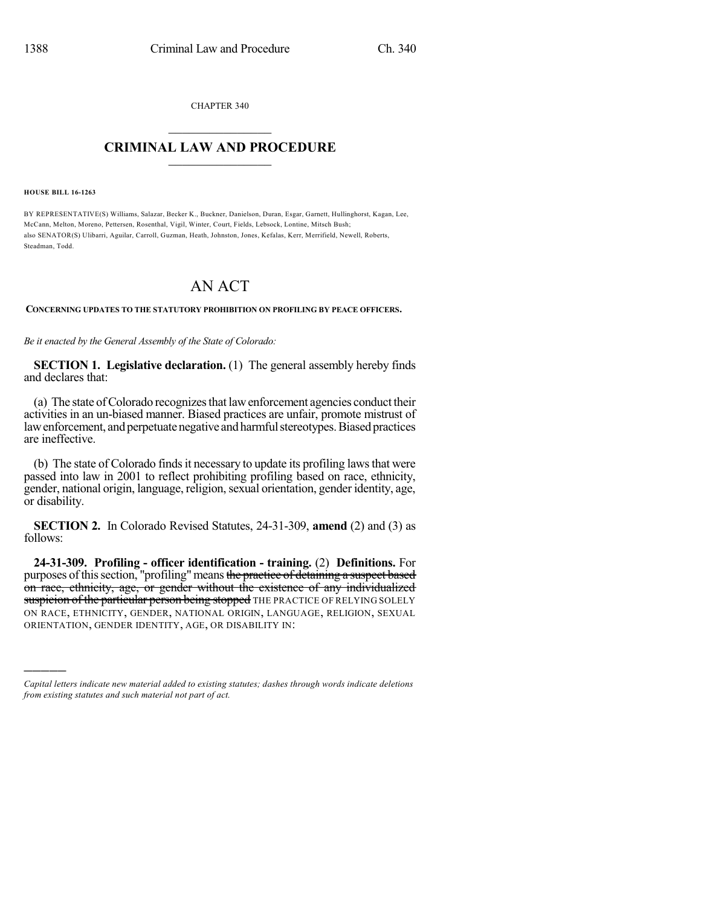CHAPTER 340  $\mathcal{L}_\text{max}$  . The set of the set of the set of the set of the set of the set of the set of the set of the set of the set of the set of the set of the set of the set of the set of the set of the set of the set of the set

## **CRIMINAL LAW AND PROCEDURE**  $\frac{1}{2}$  ,  $\frac{1}{2}$  ,  $\frac{1}{2}$  ,  $\frac{1}{2}$  ,  $\frac{1}{2}$  ,  $\frac{1}{2}$  ,  $\frac{1}{2}$

**HOUSE BILL 16-1263**

)))))

BY REPRESENTATIVE(S) Williams, Salazar, Becker K., Buckner, Danielson, Duran, Esgar, Garnett, Hullinghorst, Kagan, Lee, McCann, Melton, Moreno, Pettersen, Rosenthal, Vigil, Winter, Court, Fields, Lebsock, Lontine, Mitsch Bush; also SENATOR(S) Ulibarri, Aguilar, Carroll, Guzman, Heath, Johnston, Jones, Kefalas, Kerr, Merrifield, Newell, Roberts, Steadman, Todd.

## AN ACT

## **CONCERNING UPDATES TO THE STATUTORY PROHIBITION ON PROFILING BY PEACE OFFICERS.**

*Be it enacted by the General Assembly of the State of Colorado:*

**SECTION 1. Legislative declaration.** (1) The general assembly hereby finds and declares that:

(a) The state ofColorado recognizesthat lawenforcement agencies conduct their activities in an un-biased manner. Biased practices are unfair, promote mistrust of law enforcement, and perpetuate negative and harmful stereotypes. Biased practices are ineffective.

(b) The state of Colorado finds it necessary to update its profiling laws that were passed into law in 2001 to reflect prohibiting profiling based on race, ethnicity, gender, national origin, language, religion,sexual orientation, gender identity, age, or disability.

**SECTION 2.** In Colorado Revised Statutes, 24-31-309, **amend** (2) and (3) as follows:

**24-31-309. Profiling - officer identification - training.** (2) **Definitions.** For purposes of this section, "profiling" means the practice of detaining a suspect based on race, ethnicity, age, or gender without the existence of any individualized suspicion of the particular person being stopped THE PRACTICE OF RELYING SOLELY ON RACE, ETHNICITY, GENDER, NATIONAL ORIGIN, LANGUAGE, RELIGION, SEXUAL ORIENTATION, GENDER IDENTITY, AGE, OR DISABILITY IN:

*Capital letters indicate new material added to existing statutes; dashes through words indicate deletions from existing statutes and such material not part of act.*